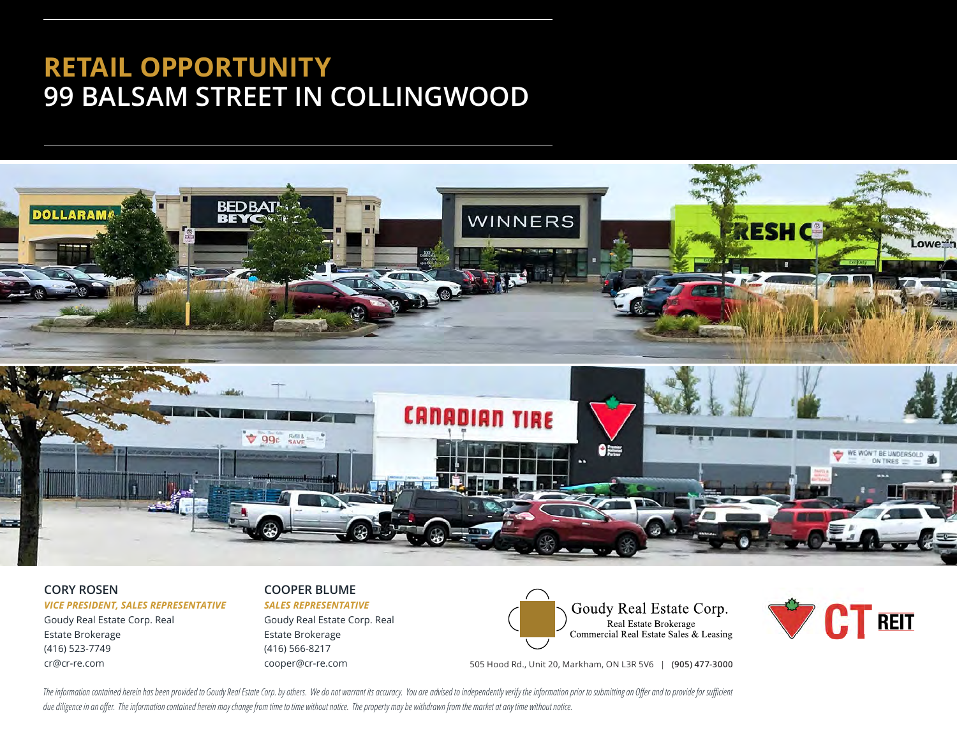# **RETAIL OPPORTUNITY 99 BALSAM STREET IN COLLINGWOOD**



#### **CORY ROSEN**

#### *VICE PRESIDENT, SALES REPRESENTATIVE*

Goudy Real Estate Corp. Real Estate Brokerage (416) 523-7749 cr@cr-re.com

#### **COOPER BLUME** *SALES REPRESENTATIVE*

Goudy Real Estate Corp. Real Estate Brokerage (416) 566-8217 cooper@cr-re.com



Real Estate Brokerage<br>Commercial Real Estate Sales & Leasing

505 Hood Rd., Unit 20, Markham, ON L3R 5V6 | **(905) 477-3000**

The information contained herein has been provided to Goudy Real Estate Corp. by others. We do not warrant its accuracy. You are advised to independently verify the information prior to submitting an Offer and to provide f due diligence in an offer. The information contained herein may change from time to time without notice. The property may be withdrawn from the market at any time without notice.

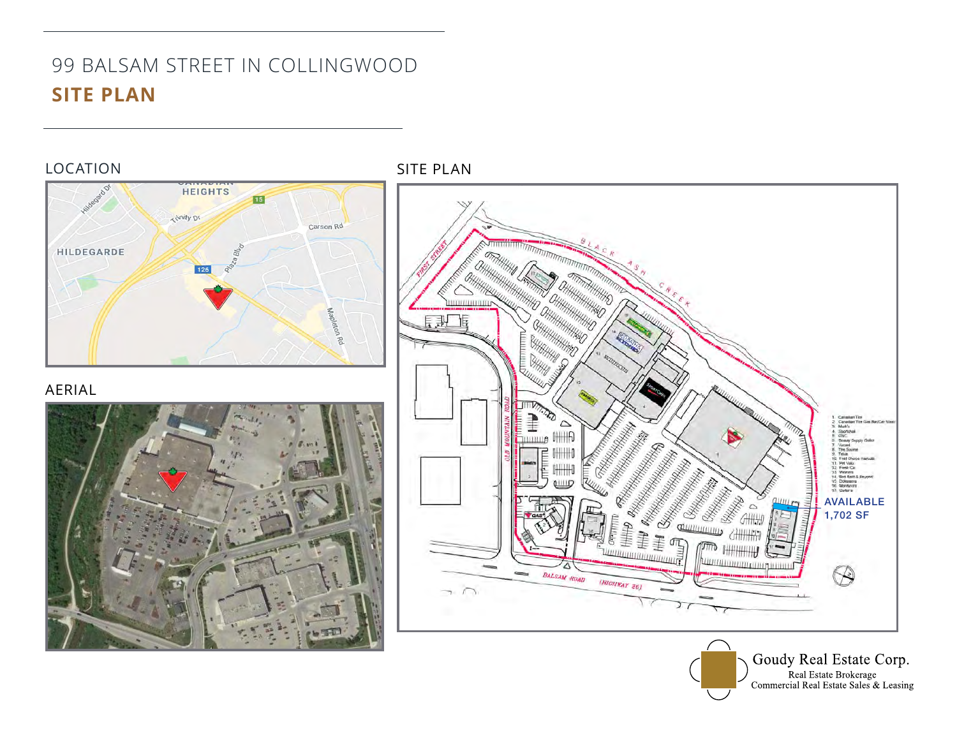# 99 BALSAM STREET IN COLLINGWOOD **SITE PLAN**

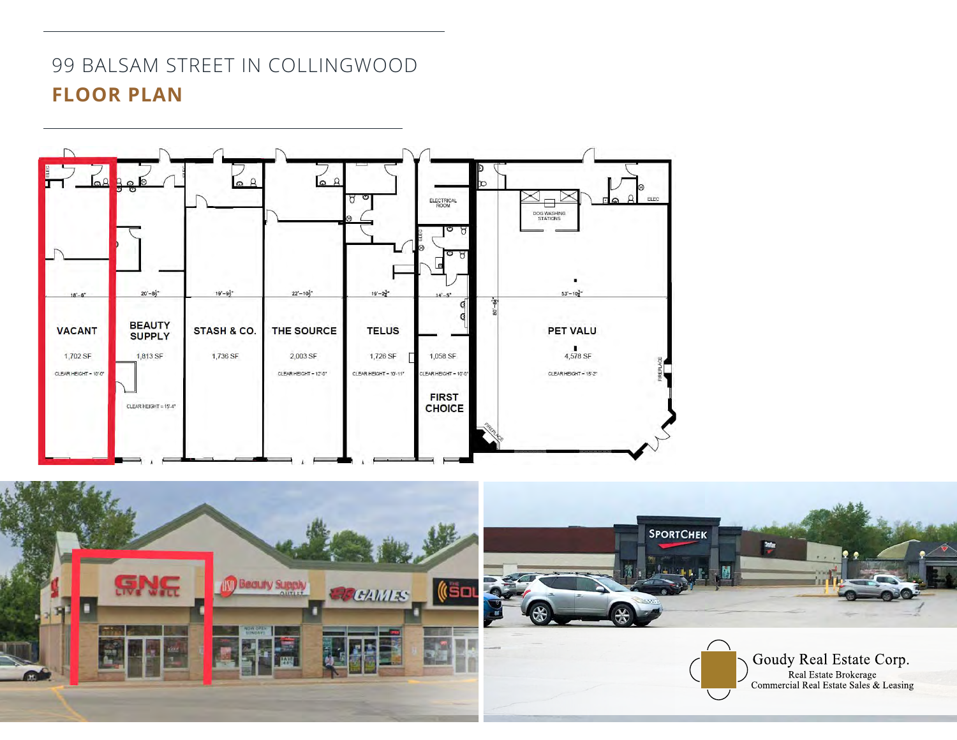## 99 BALSAM STREET IN COLLINGWOOD **FLOOR PLAN**